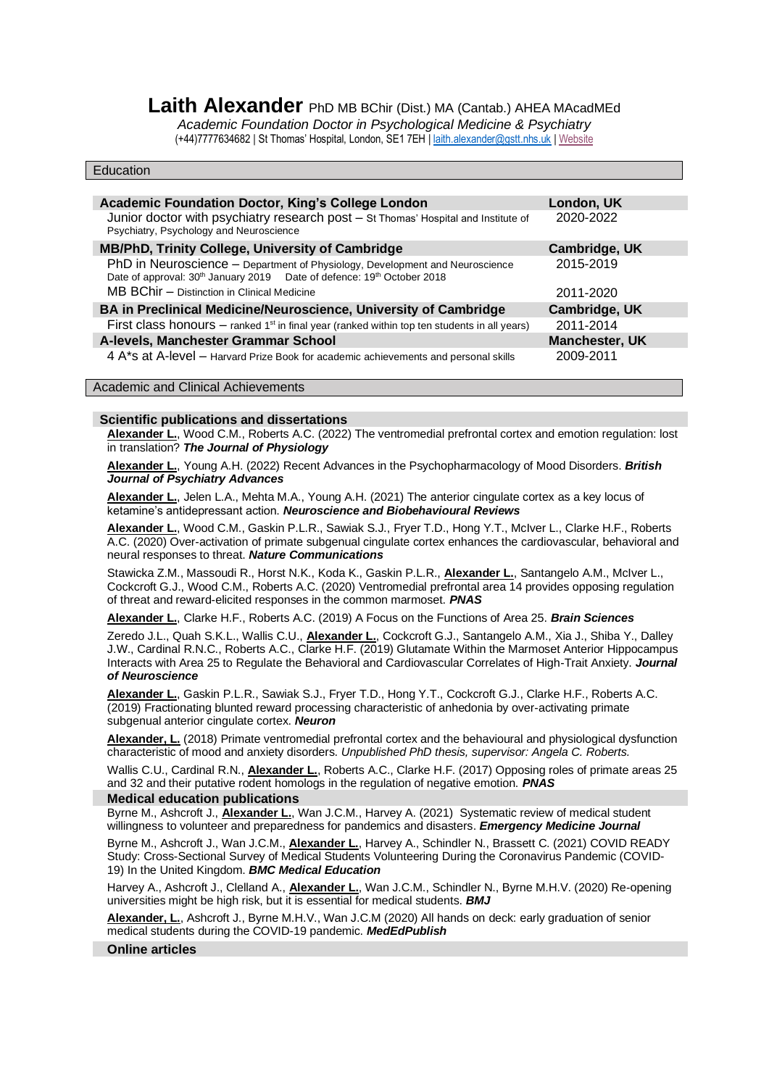# Laith Alexander PhD MB BChir (Dist.) MA (Cantab.) AHEA MAcadMEd

*Academic Foundation Doctor in Psychological Medicine & Psychiatry* (+44)7777634682 | St Thomas' Hospital, London, SE1 7EH [| laith.alexander@gstt.nhs.uk](mailto:laith.alexander@gstt.nhs.uk) [| Website](https://www.laith-alexander.com/)

| Education                                                                                                                                                                       |                         |
|---------------------------------------------------------------------------------------------------------------------------------------------------------------------------------|-------------------------|
| <b>Academic Foundation Doctor, King's College London</b><br>Junior doctor with psychiatry research post - St Thomas' Hospital and Institute of                                  | London, UK<br>2020-2022 |
| Psychiatry, Psychology and Neuroscience                                                                                                                                         |                         |
| MB/PhD, Trinity College, University of Cambridge                                                                                                                                | Cambridge, UK           |
| PhD in Neuroscience - Department of Physiology, Development and Neuroscience<br>Date of approval: 30 <sup>th</sup> January 2019  Date of defence: 19 <sup>th</sup> October 2018 | 2015-2019               |
| MB BChir - Distinction in Clinical Medicine                                                                                                                                     | 2011-2020               |
| BA in Preclinical Medicine/Neuroscience, University of Cambridge                                                                                                                | Cambridge, UK           |
| First class honours $-$ ranked 1 <sup>st</sup> in final year (ranked within top ten students in all years)                                                                      | 2011-2014               |
| A-levels, Manchester Grammar School                                                                                                                                             | <b>Manchester, UK</b>   |
| 4 A*s at A-level - Harvard Prize Book for academic achievements and personal skills                                                                                             | 2009-2011               |

Academic and Clinical Achievements

# **Scientific publications and dissertations**

**Alexander L.**, Wood C.M., Roberts A.C. (2022) The ventromedial prefrontal cortex and emotion regulation: lost in translation? *The Journal of Physiology*

**Alexander L.**, Young A.H. (2022) Recent Advances in the Psychopharmacology of Mood Disorders. *British Journal of Psychiatry Advances*

**Alexander L.**, Jelen L.A., Mehta M.A., Young A.H. (2021) The anterior cingulate cortex as a key locus of ketamine's antidepressant action. *Neuroscience and Biobehavioural Reviews*

**Alexander L.**, Wood C.M., Gaskin P.L.R., Sawiak S.J., Fryer T.D., Hong Y.T., McIver L., Clarke H.F., Roberts A.C. (2020) Over-activation of primate subgenual cingulate cortex enhances the cardiovascular, behavioral and neural responses to threat. *Nature Communications*

Stawicka Z.M., Massoudi R., Horst N.K., Koda K., Gaskin P.L.R., **Alexander L.**, Santangelo A.M., McIver L., Cockcroft G.J., Wood C.M., Roberts A.C. (2020) Ventromedial prefrontal area 14 provides opposing regulation of threat and reward-elicited responses in the common marmoset. *PNAS*

**Alexander L.**, Clarke H.F., Roberts A.C. (2019) A Focus on the Functions of Area 25. *Brain Sciences*

Zeredo J.L., Quah S.K.L., Wallis C.U., **Alexander L.**, Cockcroft G.J., Santangelo A.M., Xia J., Shiba Y., Dalley J.W., Cardinal R.N.C., Roberts A.C., Clarke H.F. (2019) Glutamate Within the Marmoset Anterior Hippocampus Interacts with Area 25 to Regulate the Behavioral and Cardiovascular Correlates of High-Trait Anxiety. *Journal of Neuroscience*

**Alexander L.**, Gaskin P.L.R., Sawiak S.J., Fryer T.D., Hong Y.T., Cockcroft G.J., Clarke H.F., Roberts A.C. (2019) Fractionating blunted reward processing characteristic of anhedonia by over-activating primate subgenual anterior cingulate cortex. *Neuron*

**Alexander, L.** (2018) Primate ventromedial prefrontal cortex and the behavioural and physiological dysfunction characteristic of mood and anxiety disorders. *Unpublished PhD thesis, supervisor: Angela C. Roberts.*

Wallis C.U., Cardinal R.N., **Alexander L.**, Roberts A.C., Clarke H.F. (2017) Opposing roles of primate areas 25 and 32 and their putative rodent homologs in the regulation of negative emotion. *PNAS*

# **Medical education publications**

Byrne M., Ashcroft J., **Alexander L.**, Wan J.C.M., Harvey A. (2021) Systematic review of medical student willingness to volunteer and preparedness for pandemics and disasters. *Emergency Medicine Journal* Byrne M., Ashcroft J., Wan J.C.M., **Alexander L.**, Harvey A., Schindler N., Brassett C. (2021) COVID READY Study: Cross-Sectional Survey of Medical Students Volunteering During the Coronavirus Pandemic (COVID-19) In the United Kingdom. *BMC Medical Education*

Harvey A., Ashcroft J., Clelland A., **Alexander L.**, Wan J.C.M., Schindler N., Byrne M.H.V. (2020) Re-opening universities might be high risk, but it is essential for medical students. *BMJ*

**Alexander, L.**, Ashcroft J., Byrne M.H.V., Wan J.C.M (2020) All hands on deck: early graduation of senior medical students during the COVID-19 pandemic. *MedEdPublish*

**Online articles**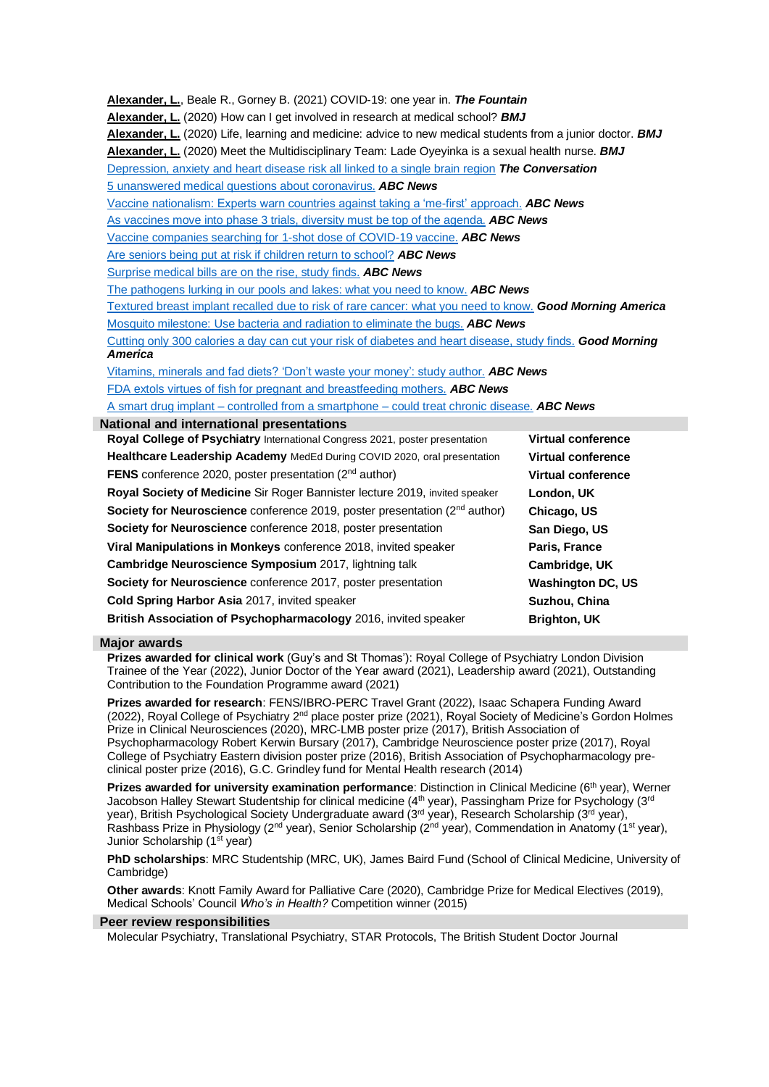| Alexander, L., Beale R., Gorney B. (2021) COVID-19: one year in. The Fountain<br><b>Alexander, L.</b> (2020) How can I get involved in research at medical school? <b>BMJ</b><br>Alexander, L. (2020) Life, learning and medicine: advice to new medical students from a junior doctor. <b>BMJ</b><br>Alexander, L. (2020) Meet the Multidisciplinary Team: Lade Oyeyinka is a sexual health nurse. <b>BMJ</b><br>Depression, anxiety and heart disease risk all linked to a single brain region The Conversation |                           |  |
|-------------------------------------------------------------------------------------------------------------------------------------------------------------------------------------------------------------------------------------------------------------------------------------------------------------------------------------------------------------------------------------------------------------------------------------------------------------------------------------------------------------------|---------------------------|--|
| 5 unanswered medical questions about coronavirus. ABC News                                                                                                                                                                                                                                                                                                                                                                                                                                                        |                           |  |
| Vaccine nationalism: Experts warn countries against taking a 'me-first' approach. ABC News                                                                                                                                                                                                                                                                                                                                                                                                                        |                           |  |
| As vaccines move into phase 3 trials, diversity must be top of the agenda. <b>ABC News</b>                                                                                                                                                                                                                                                                                                                                                                                                                        |                           |  |
| Vaccine companies searching for 1-shot dose of COVID-19 vaccine. ABC News                                                                                                                                                                                                                                                                                                                                                                                                                                         |                           |  |
| Are seniors being put at risk if children return to school? ABC News                                                                                                                                                                                                                                                                                                                                                                                                                                              |                           |  |
| Surprise medical bills are on the rise, study finds. ABC News                                                                                                                                                                                                                                                                                                                                                                                                                                                     |                           |  |
| The pathogens lurking in our pools and lakes: what you need to know. ABC News                                                                                                                                                                                                                                                                                                                                                                                                                                     |                           |  |
| Textured breast implant recalled due to risk of rare cancer: what you need to know. Good Morning America                                                                                                                                                                                                                                                                                                                                                                                                          |                           |  |
| Mosquito milestone: Use bacteria and radiation to eliminate the bugs. ABC News                                                                                                                                                                                                                                                                                                                                                                                                                                    |                           |  |
| Cutting only 300 calories a day can cut your risk of diabetes and heart disease, study finds. Good Morning<br><b>America</b>                                                                                                                                                                                                                                                                                                                                                                                      |                           |  |
|                                                                                                                                                                                                                                                                                                                                                                                                                                                                                                                   |                           |  |
| Vitamins, minerals and fad diets? 'Don't waste your money': study author. ABC News                                                                                                                                                                                                                                                                                                                                                                                                                                |                           |  |
| FDA extols virtues of fish for pregnant and breastfeeding mothers. ABC News                                                                                                                                                                                                                                                                                                                                                                                                                                       |                           |  |
| A smart drug implant – controlled from a smartphone – could treat chronic disease. ABC News                                                                                                                                                                                                                                                                                                                                                                                                                       |                           |  |
| <b>National and international presentations</b><br>Royal College of Psychiatry International Congress 2021, poster presentation                                                                                                                                                                                                                                                                                                                                                                                   | <b>Virtual conference</b> |  |
| Healthcare Leadership Academy MedEd During COVID 2020, oral presentation                                                                                                                                                                                                                                                                                                                                                                                                                                          | <b>Virtual conference</b> |  |
|                                                                                                                                                                                                                                                                                                                                                                                                                                                                                                                   |                           |  |
| <b>FENS</b> conference 2020, poster presentation ( $2nd$ author)                                                                                                                                                                                                                                                                                                                                                                                                                                                  | Virtual conference        |  |
| Royal Society of Medicine Sir Roger Bannister lecture 2019, invited speaker                                                                                                                                                                                                                                                                                                                                                                                                                                       | London, UK                |  |
| Society for Neuroscience conference 2019, poster presentation (2 <sup>nd</sup> author)                                                                                                                                                                                                                                                                                                                                                                                                                            | Chicago, US               |  |
| Society for Neuroscience conference 2018, poster presentation                                                                                                                                                                                                                                                                                                                                                                                                                                                     | San Diego, US             |  |
| Viral Manipulations in Monkeys conference 2018, invited speaker                                                                                                                                                                                                                                                                                                                                                                                                                                                   | Paris, France             |  |
| Cambridge Neuroscience Symposium 2017, lightning talk                                                                                                                                                                                                                                                                                                                                                                                                                                                             | Cambridge, UK             |  |
| Society for Neuroscience conference 2017, poster presentation                                                                                                                                                                                                                                                                                                                                                                                                                                                     | <b>Washington DC, US</b>  |  |
| Cold Spring Harbor Asia 2017, invited speaker                                                                                                                                                                                                                                                                                                                                                                                                                                                                     | Suzhou, China             |  |
| British Association of Psychopharmacology 2016, invited speaker                                                                                                                                                                                                                                                                                                                                                                                                                                                   | <b>Brighton, UK</b>       |  |
|                                                                                                                                                                                                                                                                                                                                                                                                                                                                                                                   |                           |  |

## **Major awards**

**Prizes awarded for clinical work** (Guy's and St Thomas'): Royal College of Psychiatry London Division Trainee of the Year (2022), Junior Doctor of the Year award (2021), Leadership award (2021), Outstanding Contribution to the Foundation Programme award (2021)

**Prizes awarded for research**: FENS/IBRO-PERC Travel Grant (2022), Isaac Schapera Funding Award (2022), Royal College of Psychiatry 2<sup>nd</sup> place poster prize (2021), Royal Society of Medicine's Gordon Holmes Prize in Clinical Neurosciences (2020), MRC-LMB poster prize (2017), British Association of Psychopharmacology Robert Kerwin Bursary (2017), Cambridge Neuroscience poster prize (2017), Royal College of Psychiatry Eastern division poster prize (2016), British Association of Psychopharmacology preclinical poster prize (2016), G.C. Grindley fund for Mental Health research (2014)

**Prizes awarded for university examination performance**: Distinction in Clinical Medicine (6<sup>th</sup> year), Werner Jacobson Halley Stewart Studentship for clinical medicine (4<sup>th</sup> year), Passingham Prize for Psychology (3<sup>rd</sup> year), British Psychological Society Undergraduate award (3rd year), Research Scholarship (3rd year), Rashbass Prize in Physiology (2<sup>nd</sup> year), Senior Scholarship (2<sup>nd</sup> year), Commendation in Anatomy (1<sup>st</sup> year), Junior Scholarship (1<sup>st</sup> year)

**PhD scholarships**: MRC Studentship (MRC, UK), James Baird Fund (School of Clinical Medicine, University of Cambridge)

**Other awards**: Knott Family Award for Palliative Care (2020), Cambridge Prize for Medical Electives (2019), Medical Schools' Council *Who's in Health?* Competition winner (2015)

## **Peer review responsibilities**

Molecular Psychiatry, Translational Psychiatry, STAR Protocols, The British Student Doctor Journal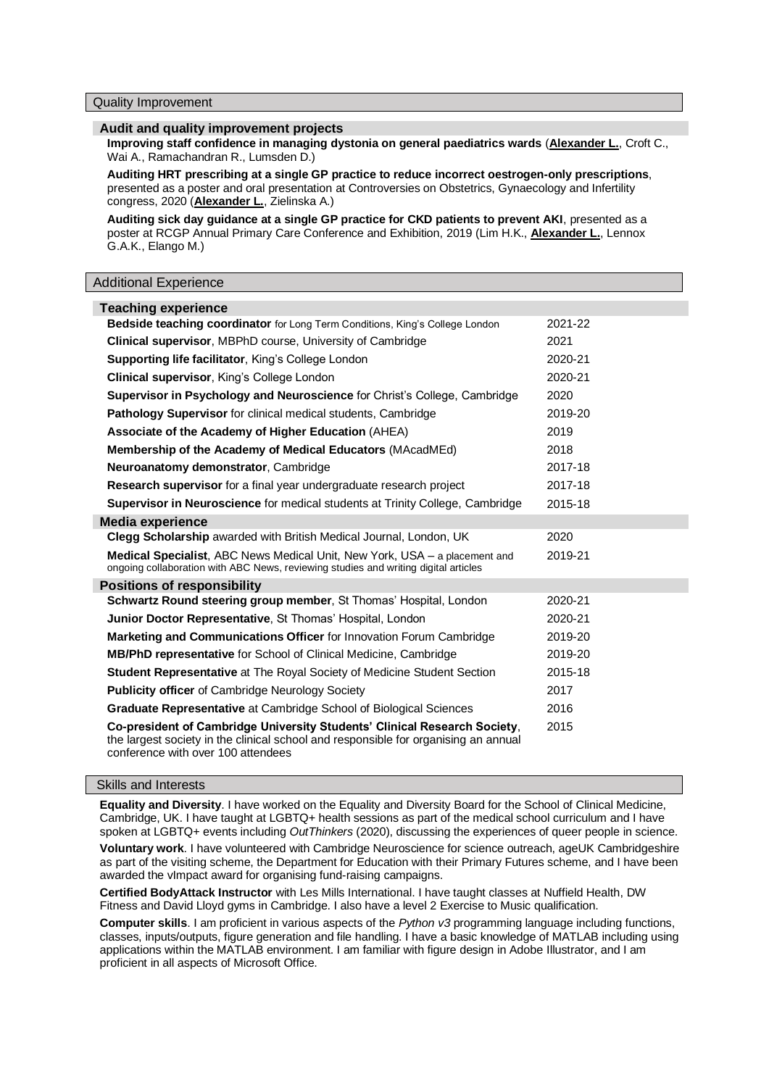#### **Audit and quality improvement projects**

**Improving staff confidence in managing dystonia on general paediatrics wards** (**Alexander L.**, Croft C., Wai A., Ramachandran R., Lumsden D.)

**Auditing HRT prescribing at a single GP practice to reduce incorrect oestrogen-only prescriptions**, presented as a poster and oral presentation at Controversies on Obstetrics, Gynaecology and Infertility congress, 2020 (**Alexander L.**, Zielinska A.)

**Auditing sick day guidance at a single GP practice for CKD patients to prevent AKI**, presented as a poster at RCGP Annual Primary Care Conference and Exhibition, 2019 (Lim H.K., **Alexander L.**, Lennox G.A.K., Elango M.)

#### Additional Experience

| <b>Teaching experience</b>                                                                                                                                                                             |         |
|--------------------------------------------------------------------------------------------------------------------------------------------------------------------------------------------------------|---------|
| Bedside teaching coordinator for Long Term Conditions, King's College London                                                                                                                           | 2021-22 |
| <b>Clinical supervisor, MBPhD course, University of Cambridge</b>                                                                                                                                      | 2021    |
| Supporting life facilitator, King's College London                                                                                                                                                     | 2020-21 |
| <b>Clinical supervisor, King's College London</b>                                                                                                                                                      | 2020-21 |
| <b>Supervisor in Psychology and Neuroscience for Christ's College, Cambridge</b>                                                                                                                       | 2020    |
| <b>Pathology Supervisor</b> for clinical medical students, Cambridge                                                                                                                                   | 2019-20 |
| Associate of the Academy of Higher Education (AHEA)                                                                                                                                                    | 2019    |
| <b>Membership of the Academy of Medical Educators (MAcadMEd)</b>                                                                                                                                       | 2018    |
| Neuroanatomy demonstrator, Cambridge                                                                                                                                                                   | 2017-18 |
| Research supervisor for a final year undergraduate research project                                                                                                                                    | 2017-18 |
| <b>Supervisor in Neuroscience</b> for medical students at Trinity College, Cambridge                                                                                                                   | 2015-18 |
| <b>Media experience</b>                                                                                                                                                                                |         |
| <b>Clegg Scholarship</b> awarded with British Medical Journal, London, UK                                                                                                                              | 2020    |
| <b>Medical Specialist</b> , ABC News Medical Unit, New York, USA – a placement and<br>ongoing collaboration with ABC News, reviewing studies and writing digital articles                              | 2019-21 |
| <b>Positions of responsibility</b>                                                                                                                                                                     |         |
| Schwartz Round steering group member, St Thomas' Hospital, London                                                                                                                                      | 2020-21 |
| Junior Doctor Representative, St Thomas' Hospital, London                                                                                                                                              | 2020-21 |
| <b>Marketing and Communications Officer for Innovation Forum Cambridge</b>                                                                                                                             | 2019-20 |
| <b>MB/PhD representative for School of Clinical Medicine, Cambridge</b>                                                                                                                                | 2019-20 |
| Student Representative at The Royal Society of Medicine Student Section                                                                                                                                | 2015-18 |
| <b>Publicity officer of Cambridge Neurology Society</b>                                                                                                                                                | 2017    |
| <b>Graduate Representative at Cambridge School of Biological Sciences</b>                                                                                                                              | 2016    |
| Co-president of Cambridge University Students' Clinical Research Society,<br>the largest society in the clinical school and responsible for organising an annual<br>conference with over 100 attendees | 2015    |

#### Skills and Interests

**Equality and Diversity**. I have worked on the Equality and Diversity Board for the School of Clinical Medicine, Cambridge, UK. I have taught at LGBTQ+ health sessions as part of the medical school curriculum and I have spoken at LGBTQ+ events including *OutThinkers* (2020), discussing the experiences of queer people in science.

**Voluntary work**. I have volunteered with Cambridge Neuroscience for science outreach, ageUK Cambridgeshire as part of the visiting scheme, the Department for Education with their Primary Futures scheme, and I have been awarded the vImpact award for organising fund-raising campaigns.

**Certified BodyAttack Instructor** with Les Mills International. I have taught classes at Nuffield Health, DW Fitness and David Lloyd gyms in Cambridge. I also have a level 2 Exercise to Music qualification.

**Computer skills**. I am proficient in various aspects of the *Python v3* programming language including functions, classes, inputs/outputs, figure generation and file handling. I have a basic knowledge of MATLAB including using applications within the MATLAB environment. I am familiar with figure design in Adobe Illustrator, and I am proficient in all aspects of Microsoft Office.